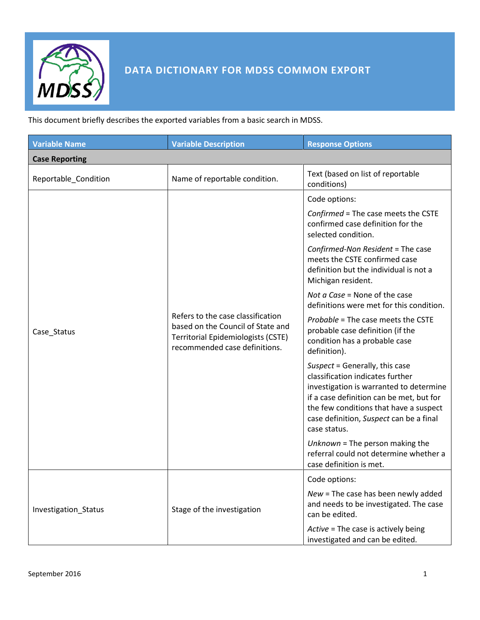

## **DATA DICTIONARY FOR MDSS COMMON EXPORT**

This document briefly describes the exported variables from a basic search in MDSS.

| <b>Variable Name</b>  | <b>Variable Description</b>                                                                                                                   | <b>Response Options</b>                                                                                                                                                                                                                                        |
|-----------------------|-----------------------------------------------------------------------------------------------------------------------------------------------|----------------------------------------------------------------------------------------------------------------------------------------------------------------------------------------------------------------------------------------------------------------|
| <b>Case Reporting</b> |                                                                                                                                               |                                                                                                                                                                                                                                                                |
| Reportable_Condition  | Name of reportable condition.                                                                                                                 | Text (based on list of reportable<br>conditions)                                                                                                                                                                                                               |
|                       |                                                                                                                                               | Code options:                                                                                                                                                                                                                                                  |
| Case_Status           | Refers to the case classification<br>based on the Council of State and<br>Territorial Epidemiologists (CSTE)<br>recommended case definitions. | Confirmed = The case meets the CSTE<br>confirmed case definition for the<br>selected condition.                                                                                                                                                                |
|                       |                                                                                                                                               | Confirmed-Non Resident = The case<br>meets the CSTE confirmed case<br>definition but the individual is not a<br>Michigan resident.                                                                                                                             |
|                       |                                                                                                                                               | <i>Not a Case = None of the case</i><br>definitions were met for this condition.                                                                                                                                                                               |
|                       |                                                                                                                                               | Probable = The case meets the CSTE<br>probable case definition (if the<br>condition has a probable case<br>definition).                                                                                                                                        |
|                       |                                                                                                                                               | Suspect = Generally, this case<br>classification indicates further<br>investigation is warranted to determine<br>if a case definition can be met, but for<br>the few conditions that have a suspect<br>case definition, Suspect can be a final<br>case status. |
|                       |                                                                                                                                               | Unknown = The person making the<br>referral could not determine whether a<br>case definition is met.                                                                                                                                                           |
| Investigation_Status  | Stage of the investigation                                                                                                                    | Code options:                                                                                                                                                                                                                                                  |
|                       |                                                                                                                                               | $New = The case has been newly added$<br>and needs to be investigated. The case<br>can be edited.                                                                                                                                                              |
|                       |                                                                                                                                               | Active = The case is actively being<br>investigated and can be edited.                                                                                                                                                                                         |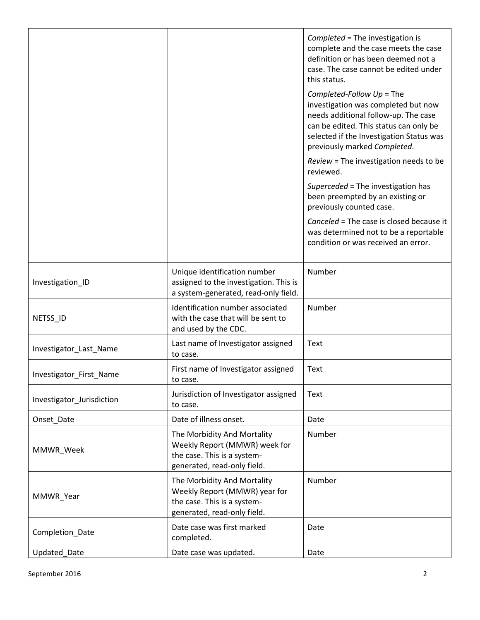|                           |                                                                                                                            | Completed = The investigation is<br>complete and the case meets the case<br>definition or has been deemed not a<br>case. The case cannot be edited under<br>this status.                                                         |
|---------------------------|----------------------------------------------------------------------------------------------------------------------------|----------------------------------------------------------------------------------------------------------------------------------------------------------------------------------------------------------------------------------|
|                           |                                                                                                                            | Completed-Follow $Up = The$<br>investigation was completed but now<br>needs additional follow-up. The case<br>can be edited. This status can only be<br>selected if the Investigation Status was<br>previously marked Completed. |
|                           |                                                                                                                            | Review = The investigation needs to be<br>reviewed.                                                                                                                                                                              |
|                           |                                                                                                                            | Superceded = The investigation has<br>been preempted by an existing or<br>previously counted case.                                                                                                                               |
|                           |                                                                                                                            | Canceled = The case is closed because it<br>was determined not to be a reportable<br>condition or was received an error.                                                                                                         |
| Investigation_ID          | Unique identification number<br>assigned to the investigation. This is<br>a system-generated, read-only field.             | Number                                                                                                                                                                                                                           |
| NETSS_ID                  | Identification number associated<br>with the case that will be sent to<br>and used by the CDC.                             | Number                                                                                                                                                                                                                           |
| Investigator_Last_Name    | Last name of Investigator assigned<br>to case.                                                                             | Text                                                                                                                                                                                                                             |
| Investigator First Name   | First name of Investigator assigned<br>to case.                                                                            | Text                                                                                                                                                                                                                             |
| Investigator Jurisdiction | Jurisdiction of Investigator assigned<br>to case.                                                                          | Text                                                                                                                                                                                                                             |
| Onset Date                | Date of illness onset.                                                                                                     | Date                                                                                                                                                                                                                             |
| MMWR_Week                 | The Morbidity And Mortality<br>Weekly Report (MMWR) week for<br>the case. This is a system-<br>generated, read-only field. | Number                                                                                                                                                                                                                           |
| MMWR_Year                 | The Morbidity And Mortality<br>Weekly Report (MMWR) year for<br>the case. This is a system-<br>generated, read-only field. | Number                                                                                                                                                                                                                           |
| Completion_Date           | Date case was first marked<br>completed.                                                                                   | Date                                                                                                                                                                                                                             |
| Updated_Date              | Date case was updated.                                                                                                     | Date                                                                                                                                                                                                                             |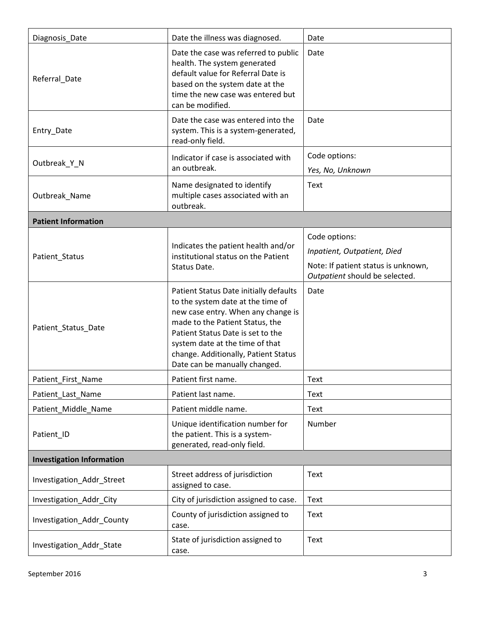| Diagnosis_Date                   | Date the illness was diagnosed.                                                                                                                                                                                                                                                                       | Date                                                                                                                  |
|----------------------------------|-------------------------------------------------------------------------------------------------------------------------------------------------------------------------------------------------------------------------------------------------------------------------------------------------------|-----------------------------------------------------------------------------------------------------------------------|
| Referral_Date                    | Date the case was referred to public<br>health. The system generated<br>default value for Referral Date is<br>based on the system date at the<br>time the new case was entered but<br>can be modified.                                                                                                | Date                                                                                                                  |
| Entry_Date                       | Date the case was entered into the<br>system. This is a system-generated,<br>read-only field.                                                                                                                                                                                                         | Date                                                                                                                  |
| Outbreak_Y_N                     | Indicator if case is associated with<br>an outbreak.                                                                                                                                                                                                                                                  | Code options:<br>Yes, No, Unknown                                                                                     |
| Outbreak_Name                    | Name designated to identify<br>multiple cases associated with an<br>outbreak.                                                                                                                                                                                                                         | Text                                                                                                                  |
| <b>Patient Information</b>       |                                                                                                                                                                                                                                                                                                       |                                                                                                                       |
| Patient_Status                   | Indicates the patient health and/or<br>institutional status on the Patient<br>Status Date.                                                                                                                                                                                                            | Code options:<br>Inpatient, Outpatient, Died<br>Note: If patient status is unknown,<br>Outpatient should be selected. |
| Patient_Status_Date              | Patient Status Date initially defaults<br>to the system date at the time of<br>new case entry. When any change is<br>made to the Patient Status, the<br>Patient Status Date is set to the<br>system date at the time of that<br>change. Additionally, Patient Status<br>Date can be manually changed. | Date                                                                                                                  |
| Patient_First_Name               | Patient first name.                                                                                                                                                                                                                                                                                   | Text                                                                                                                  |
| Patient_Last_Name                | Patient last name.                                                                                                                                                                                                                                                                                    | Text                                                                                                                  |
| Patient_Middle_Name              | Patient middle name.                                                                                                                                                                                                                                                                                  | Text                                                                                                                  |
| Patient_ID                       | Unique identification number for<br>the patient. This is a system-<br>generated, read-only field.                                                                                                                                                                                                     | Number                                                                                                                |
| <b>Investigation Information</b> |                                                                                                                                                                                                                                                                                                       |                                                                                                                       |
| Investigation_Addr_Street        | Street address of jurisdiction<br>assigned to case.                                                                                                                                                                                                                                                   | Text                                                                                                                  |
| Investigation_Addr_City          | City of jurisdiction assigned to case.                                                                                                                                                                                                                                                                | Text                                                                                                                  |
| Investigation_Addr_County        | County of jurisdiction assigned to<br>case.                                                                                                                                                                                                                                                           | Text                                                                                                                  |
| Investigation_Addr_State         | State of jurisdiction assigned to<br>case.                                                                                                                                                                                                                                                            | Text                                                                                                                  |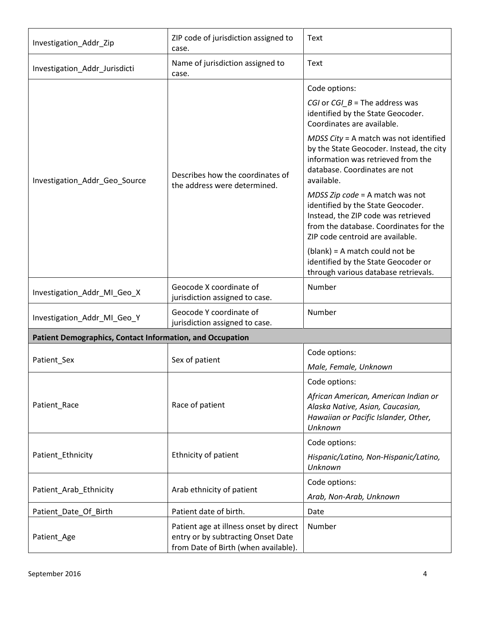| Investigation_Addr_Zip                                    | ZIP code of jurisdiction assigned to<br>case.                                                                        | Text                                                                                                                                                                                        |
|-----------------------------------------------------------|----------------------------------------------------------------------------------------------------------------------|---------------------------------------------------------------------------------------------------------------------------------------------------------------------------------------------|
| Investigation_Addr_Jurisdicti                             | Name of jurisdiction assigned to<br>case.                                                                            | Text                                                                                                                                                                                        |
|                                                           |                                                                                                                      | Code options:                                                                                                                                                                               |
| Investigation_Addr_Geo_Source                             | Describes how the coordinates of<br>the address were determined.                                                     | CGI or CGI_B = The address was<br>identified by the State Geocoder.<br>Coordinates are available.                                                                                           |
|                                                           |                                                                                                                      | MDSS City = A match was not identified<br>by the State Geocoder. Instead, the city<br>information was retrieved from the<br>database. Coordinates are not<br>available.                     |
|                                                           |                                                                                                                      | MDSS Zip $code = A$ match was not<br>identified by the State Geocoder.<br>Instead, the ZIP code was retrieved<br>from the database. Coordinates for the<br>ZIP code centroid are available. |
|                                                           |                                                                                                                      | $(blank) = A match could not be$<br>identified by the State Geocoder or<br>through various database retrievals.                                                                             |
| Investigation_Addr_MI_Geo_X                               | Geocode X coordinate of<br>jurisdiction assigned to case.                                                            | Number                                                                                                                                                                                      |
| Investigation_Addr_MI_Geo_Y                               | Geocode Y coordinate of<br>jurisdiction assigned to case.                                                            | Number                                                                                                                                                                                      |
| Patient Demographics, Contact Information, and Occupation |                                                                                                                      |                                                                                                                                                                                             |
| Patient_Sex                                               | Sex of patient                                                                                                       | Code options:                                                                                                                                                                               |
|                                                           |                                                                                                                      | Male, Female, Unknown                                                                                                                                                                       |
|                                                           | Race of patient                                                                                                      | Code options:                                                                                                                                                                               |
| Patient_Race                                              |                                                                                                                      | African American, American Indian or<br>Alaska Native, Asian, Caucasian,<br>Hawaiian or Pacific Islander, Other,<br>Unknown                                                                 |
|                                                           |                                                                                                                      | Code options:                                                                                                                                                                               |
| Patient_Ethnicity                                         | Ethnicity of patient                                                                                                 | Hispanic/Latino, Non-Hispanic/Latino,<br>Unknown                                                                                                                                            |
| Patient_Arab_Ethnicity                                    | Arab ethnicity of patient                                                                                            | Code options:                                                                                                                                                                               |
|                                                           |                                                                                                                      | Arab, Non-Arab, Unknown                                                                                                                                                                     |
| Patient_Date_Of_Birth                                     | Patient date of birth.                                                                                               | Date                                                                                                                                                                                        |
| Patient_Age                                               | Patient age at illness onset by direct<br>entry or by subtracting Onset Date<br>from Date of Birth (when available). | Number                                                                                                                                                                                      |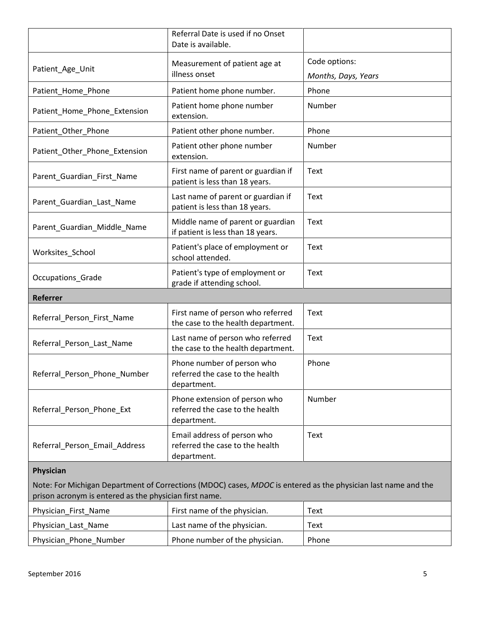|                                                                                                               | Referral Date is used if no Onset<br>Date is available.                         |                              |
|---------------------------------------------------------------------------------------------------------------|---------------------------------------------------------------------------------|------------------------------|
| Patient_Age_Unit                                                                                              | Measurement of patient age at<br>illness onset                                  | Code options:                |
| Patient_Home_Phone                                                                                            | Patient home phone number.                                                      | Months, Days, Years<br>Phone |
| Patient_Home_Phone_Extension                                                                                  | Patient home phone number<br>extension.                                         | Number                       |
| Patient_Other_Phone                                                                                           | Patient other phone number.                                                     | Phone                        |
| Patient_Other_Phone_Extension                                                                                 | Patient other phone number<br>extension.                                        | Number                       |
| Parent_Guardian_First_Name                                                                                    | First name of parent or guardian if<br>patient is less than 18 years.           | Text                         |
| Parent_Guardian_Last_Name                                                                                     | Last name of parent or guardian if<br>patient is less than 18 years.            | Text                         |
| Parent_Guardian_Middle_Name                                                                                   | Middle name of parent or guardian<br>if patient is less than 18 years.          | Text                         |
| Worksites_School                                                                                              | Patient's place of employment or<br>school attended.                            | Text                         |
| Occupations_Grade                                                                                             | Patient's type of employment or<br>grade if attending school.                   | <b>Text</b>                  |
| Referrer                                                                                                      |                                                                                 |                              |
| Referral_Person_First_Name                                                                                    | First name of person who referred<br>the case to the health department.         | <b>Text</b>                  |
| Referral_Person_Last_Name                                                                                     | Last name of person who referred<br>the case to the health department.          | <b>Text</b>                  |
| Referral Person Phone Number                                                                                  | Phone number of person who<br>referred the case to the health<br>department.    | Phone                        |
| Referral_Person_Phone_Ext                                                                                     | Phone extension of person who<br>referred the case to the health<br>department. | Number                       |
| Referral_Person_Email_Address                                                                                 | Email address of person who<br>referred the case to the health<br>department.   | <b>Text</b>                  |
| Physician                                                                                                     |                                                                                 |                              |
| Note: For Michigan Department of Corrections (MDOC) cases, MDOC is entered as the physician last name and the |                                                                                 |                              |
| prison acronym is entered as the physician first name.                                                        |                                                                                 |                              |
| Physician_First_Name                                                                                          | First name of the physician.                                                    | <b>Text</b>                  |
| Physician_Last_Name                                                                                           | Last name of the physician.                                                     | Text                         |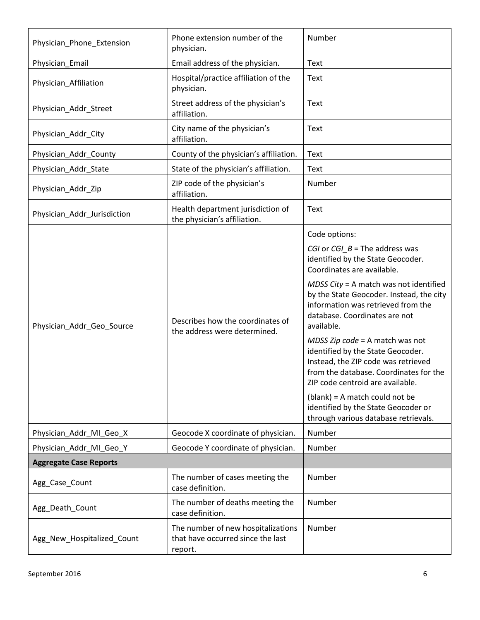| Physician_Phone_Extension     | Phone extension number of the<br>physician.                                        | Number                                                                                                                                                                                                                                                                                                                                                                                                                                                                                                                                                                                                             |
|-------------------------------|------------------------------------------------------------------------------------|--------------------------------------------------------------------------------------------------------------------------------------------------------------------------------------------------------------------------------------------------------------------------------------------------------------------------------------------------------------------------------------------------------------------------------------------------------------------------------------------------------------------------------------------------------------------------------------------------------------------|
| Physician_Email               | Email address of the physician.                                                    | Text                                                                                                                                                                                                                                                                                                                                                                                                                                                                                                                                                                                                               |
| Physician_Affiliation         | Hospital/practice affiliation of the<br>physician.                                 | Text                                                                                                                                                                                                                                                                                                                                                                                                                                                                                                                                                                                                               |
| Physician_Addr_Street         | Street address of the physician's<br>affiliation.                                  | Text                                                                                                                                                                                                                                                                                                                                                                                                                                                                                                                                                                                                               |
| Physician_Addr_City           | City name of the physician's<br>affiliation.                                       | Text                                                                                                                                                                                                                                                                                                                                                                                                                                                                                                                                                                                                               |
| Physician_Addr_County         | County of the physician's affiliation.                                             | Text                                                                                                                                                                                                                                                                                                                                                                                                                                                                                                                                                                                                               |
| Physician_Addr_State          | State of the physician's affiliation.                                              | Text                                                                                                                                                                                                                                                                                                                                                                                                                                                                                                                                                                                                               |
| Physician_Addr_Zip            | ZIP code of the physician's<br>affiliation.                                        | Number                                                                                                                                                                                                                                                                                                                                                                                                                                                                                                                                                                                                             |
| Physician_Addr_Jurisdiction   | Health department jurisdiction of<br>the physician's affiliation.                  | Text                                                                                                                                                                                                                                                                                                                                                                                                                                                                                                                                                                                                               |
| Physician_Addr_Geo_Source     | Describes how the coordinates of<br>the address were determined.                   | Code options:<br>CGI or CGI_ $B$ = The address was<br>identified by the State Geocoder.<br>Coordinates are available.<br>MDSS City = A match was not identified<br>by the State Geocoder. Instead, the city<br>information was retrieved from the<br>database. Coordinates are not<br>available.<br>MDSS Zip $code = A$ match was not<br>identified by the State Geocoder.<br>Instead, the ZIP code was retrieved<br>from the database. Coordinates for the<br>ZIP code centroid are available.<br>$(blank) = A match could not be$<br>identified by the State Geocoder or<br>through various database retrievals. |
| Physician Addr MI Geo X       | Geocode X coordinate of physician.                                                 | Number                                                                                                                                                                                                                                                                                                                                                                                                                                                                                                                                                                                                             |
| Physician_Addr_MI_Geo_Y       | Geocode Y coordinate of physician.                                                 | Number                                                                                                                                                                                                                                                                                                                                                                                                                                                                                                                                                                                                             |
| <b>Aggregate Case Reports</b> |                                                                                    |                                                                                                                                                                                                                                                                                                                                                                                                                                                                                                                                                                                                                    |
| Agg_Case_Count                | The number of cases meeting the<br>case definition.                                | Number                                                                                                                                                                                                                                                                                                                                                                                                                                                                                                                                                                                                             |
| Agg_Death_Count               | The number of deaths meeting the<br>case definition.                               | Number                                                                                                                                                                                                                                                                                                                                                                                                                                                                                                                                                                                                             |
| Agg_New_Hospitalized_Count    | The number of new hospitalizations<br>that have occurred since the last<br>report. | Number                                                                                                                                                                                                                                                                                                                                                                                                                                                                                                                                                                                                             |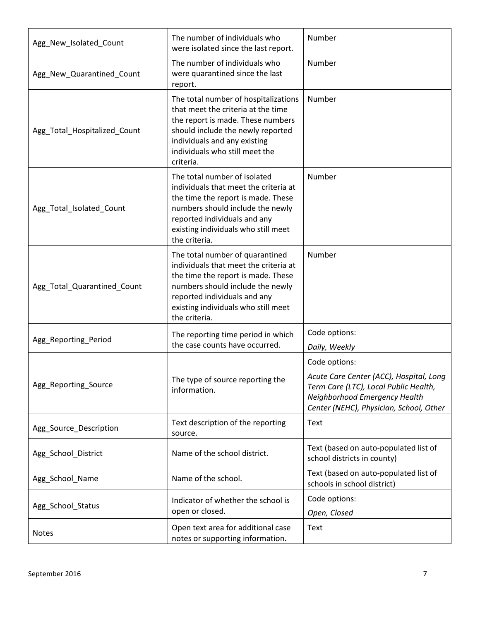| Agg_New_Isolated_Count       | The number of individuals who<br>were isolated since the last report.                                                                                                                                                                      | Number                                                                                                                                                                        |
|------------------------------|--------------------------------------------------------------------------------------------------------------------------------------------------------------------------------------------------------------------------------------------|-------------------------------------------------------------------------------------------------------------------------------------------------------------------------------|
| Agg_New_Quarantined_Count    | The number of individuals who<br>were quarantined since the last<br>report.                                                                                                                                                                | Number                                                                                                                                                                        |
| Agg_Total_Hospitalized_Count | The total number of hospitalizations<br>that meet the criteria at the time<br>the report is made. These numbers<br>should include the newly reported<br>individuals and any existing<br>individuals who still meet the<br>criteria.        | Number                                                                                                                                                                        |
| Agg_Total_Isolated_Count     | The total number of isolated<br>individuals that meet the criteria at<br>the time the report is made. These<br>numbers should include the newly<br>reported individuals and any<br>existing individuals who still meet<br>the criteria.    | Number                                                                                                                                                                        |
| Agg_Total_Quarantined_Count  | The total number of quarantined<br>individuals that meet the criteria at<br>the time the report is made. These<br>numbers should include the newly<br>reported individuals and any<br>existing individuals who still meet<br>the criteria. | Number                                                                                                                                                                        |
| Agg_Reporting_Period         | The reporting time period in which<br>the case counts have occurred.                                                                                                                                                                       | Code options:<br>Daily, Weekly                                                                                                                                                |
| Agg_Reporting_Source         | The type of source reporting the<br>information.                                                                                                                                                                                           | Code options:<br>Acute Care Center (ACC), Hospital, Long<br>Term Care (LTC), Local Public Health,<br>Neighborhood Emergency Health<br>Center (NEHC), Physician, School, Other |
| Agg_Source_Description       | Text description of the reporting<br>source.                                                                                                                                                                                               | Text                                                                                                                                                                          |
| Agg_School_District          | Name of the school district.                                                                                                                                                                                                               | Text (based on auto-populated list of<br>school districts in county)                                                                                                          |
| Agg_School_Name              | Name of the school.                                                                                                                                                                                                                        | Text (based on auto-populated list of<br>schools in school district)                                                                                                          |
| Agg_School_Status            | Indicator of whether the school is<br>open or closed.                                                                                                                                                                                      | Code options:<br>Open, Closed                                                                                                                                                 |
| <b>Notes</b>                 | Open text area for additional case<br>notes or supporting information.                                                                                                                                                                     | <b>Text</b>                                                                                                                                                                   |